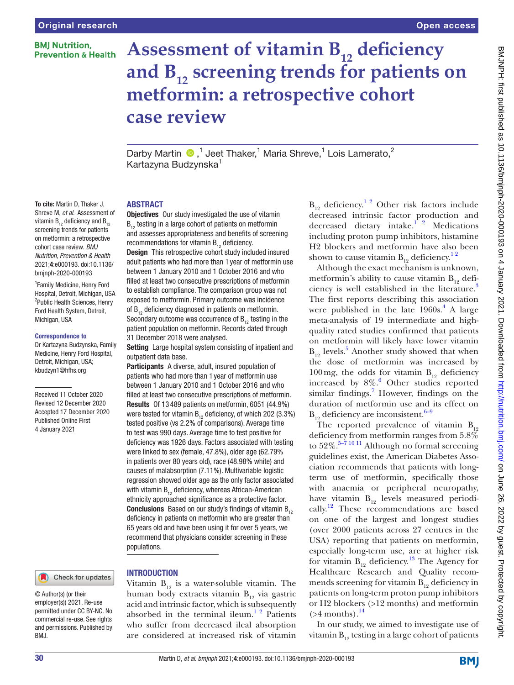**BMI Nutrition. Prevention & Health** 

# Assessment of vitamin B<sub>12</sub><sup> *deficiency*</sup> **and B12 screening trends for patients on metformin: a retrospective cohort case review**

DarbyMartin  $\bullet$ ,<sup>1</sup> Jeet Thaker,<sup>1</sup> Maria Shreve,<sup>1</sup> Lois Lamerato,<sup>2</sup> Kartazyna Budzynska<sup>1</sup>

## ABSTRACT

**Objectives** Our study investigated the use of vitamin  $B_{12}$  testing in a large cohort of patients on metformin and assesses appropriateness and benefits of screening

**Design** This retrospective cohort study included insured adult patients who had more than 1 year of metformin use between 1 January 2010 and 1 October 2016 and who filled at least two consecutive prescriptions of metformin to establish compliance. The comparison group was not exposed to metformin. Primary outcome was incidence of  $B_{12}$  deficiency diagnosed in patients on metformin. Secondary outcome was occurrence of  $B_{12}$  testing in the patient population on metformin. Records dated through

Setting Large hospital system consisting of inpatient and

Participants A diverse, adult, insured population of patients who had more than 1 year of metformin use between 1 January 2010 and 1 October 2016 and who filled at least two consecutive prescriptions of metformin. Results Of 13 489 patients on metformin, 6051 (44.9%) were tested for vitamin  $B_{12}$  deficiency, of which 202 (3.3%) tested positive (vs 2.2% of comparisons). Average time to test was 990 days. Average time to test positive for deficiency was 1926 days. Factors associated with testing were linked to sex (female, 47.8%), older age (62.79% in patients over 80 years old), race (48.98% white) and causes of malabsorption (7.11%). Multivariable logistic regression showed older age as the only factor associated with vitamin  $B_{12}$  deficiency, whereas African-American ethnicity approached significance as a protective factor. **Conclusions** Based on our study's findings of vitamin  $B_{12}$ deficiency in patients on metformin who are greater than 65 years old and have been using it for over 5 years, we recommend that physicians consider screening in these

recommendations for vitamin  $B_{12}$  deficiency.

31 December 2018 were analysed.

outpatient data base.

To cite: Martin D, Thaker J Shreve M, *et al*. Assessment of vitamin  $B_{12}$  deficiency and  $B_{12}$ screening trends for patients on metformin: a retrospective cohort case review. *BMJ Nutrition, Prevention & Health* 2021;4:e000193. doi:10.1136/ bmjnph-2020-000193

1 Family Medicine, Henry Ford Hospital, Detroit, Michigan, USA <sup>2</sup>Public Health Sciences, Henry Ford Health System, Detroit, Michigan, USA

#### Correspondence to

Dr Kartazyna Budzynska, Family Medicine, Henry Ford Hospital, Detroit, Michigan, USA; kbudzyn1@hfhs.org

Received 11 October 2020 Revised 12 December 2020 Accepted 17 December 2020 Published Online First 4 January 2021

#### Check for updates

© Author(s) (or their employer(s)) 2021. Re-use permitted under CC BY-NC. No commercial re-use. See rights and permissions. Published by BMJ.

## INTRODUCTION

populations.

Vitamin  $B_{12}$  is a water-soluble vitamin. The human body extracts vitamin  $B_{12}$  via gastric acid and intrinsic factor, which is subsequently absorbed in the terminal ileum.<sup>12</sup> Patients who suffer from decreased ileal absorption are considered at increased risk of vitamin  $B_{12}$  deficiency.<sup>1 2</sup> Other risk factors include decreased intrinsic factor production and decreased dietary intake.<sup>12</sup> Medications including proton pump inhibitors, histamine H2 blockers and metformin have also been shown to cause vitamin  $B_{19}$  deficiency.<sup>12</sup>

Although the exact mechanism is unknown, metformin's ability to cause vitamin  $B_{12}$  defi-ciency is well established in the literature.<sup>[3](#page-4-1)</sup> The first reports describing this association were published in the late  $1960s$ .<sup>[4](#page-4-2)</sup> A large meta-analysis of 19 intermediate and highquality rated studies confirmed that patients on metformin will likely have lower vitamin  $B_{12}$  levels.<sup>[5](#page-4-3)</sup> Another study showed that when the dose of metformin was increased by 100 mg, the odds for vitamin  $B_{12}$  deficiency increased by  $8\%$ .<sup>[6](#page-4-4)</sup> Other studies reported similar findings.<sup>[7](#page-4-5)</sup> However, findings on the duration of metformin use and its effect on  $B_{12}$  deficiency are inconsistent.<sup>6–9</sup>

The reported prevalence of vitamin  $B_{12}$ deficiency from metformin ranges from 5.8% to  $52\%$ <sup>5–7 10 11</sup> Although no formal screening guidelines exist, the American Diabetes Association recommends that patients with longterm use of metformin, specifically those with anaemia or peripheral neuropathy, have vitamin  $B_{12}$  levels measured periodically.[12](#page-4-6) These recommendations are based on one of the largest and longest studies (over 2000 patients across 27 centres in the USA) reporting that patients on metformin, especially long-term use, are at higher risk for vitamin  $B_{12}$  deficiency.<sup>13</sup> The Agency for Healthcare Research and Quality recommends screening for vitamin  $B_{19}$  deficiency in patients on long-term proton pump inhibitors or H2 blockers (>12 months) and metformin  $(>4$  months).<sup>[14](#page-4-8)</sup>

In our study, we aimed to investigate use of vitamin  $B_{12}$  testing in a large cohort of patients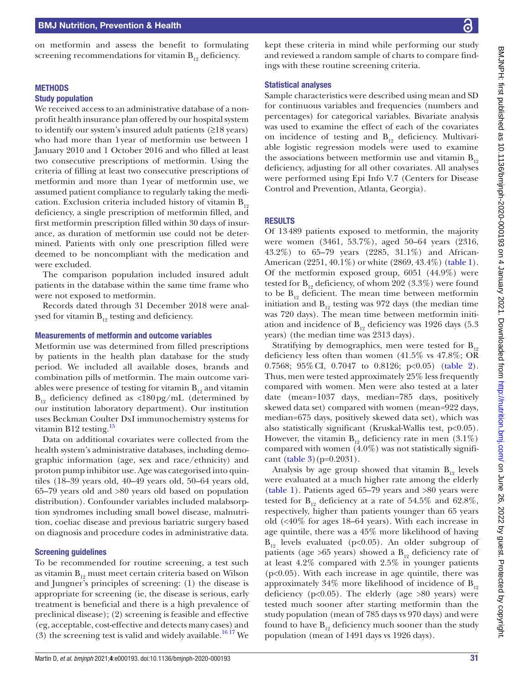on metformin and assess the benefit to formulating screening recommendations for vitamin  $B_{19}$  deficiency.

#### **METHODS**

### Study population

We received access to an administrative database of a nonprofit health insurance plan offered by our hospital system to identify our system's insured adult patients (≥18 years) who had more than 1year of metformin use between 1 January 2010 and 1 October 2016 and who filled at least two consecutive prescriptions of metformin. Using the criteria of filling at least two consecutive prescriptions of metformin and more than 1year of metformin use, we assumed patient compliance to regularly taking the medication. Exclusion criteria included history of vitamin  $B_{12}$ deficiency, a single prescription of metformin filled, and first metformin prescription filled within 30 days of insurance, as duration of metformin use could not be determined. Patients with only one prescription filled were deemed to be noncompliant with the medication and were excluded.

The comparison population included insured adult patients in the database within the same time frame who were not exposed to metformin.

Records dated through 31 December 2018 were analysed for vitamin  $B_{12}$  testing and deficiency.

#### Measurements of metformin and outcome variables

Metformin use was determined from filled prescriptions by patients in the health plan database for the study period. We included all available doses, brands and combination pills of metformin. The main outcome variables were presence of testing for vitamin  $B_{12}$  and vitamin  $B_{12}$  deficiency defined as <180pg/mL (determined by our institution laboratory department). Our institution uses Beckman Coulter DxI immunochemistry systems for vitamin B12 testing. $15$ 

Data on additional covariates were collected from the health system's administrative databases, including demographic information (age, sex and race/ethnicity) and proton pump inhibitor use. Age was categorised into quintiles (18–39 years old, 40–49 years old, 50–64 years old, 65–79 years old and >80 years old based on population distribution). Confounder variables included malabsorption syndromes including small bowel disease, malnutrition, coeliac disease and previous bariatric surgery based on diagnosis and procedure codes in administrative data.

## Screening guidelines

To be recommended for routine screening, a test such as vitamin  $B_{19}$  must meet certain criteria based on Wilson and Jungner's principles of screening: (1) the disease is appropriate for screening (ie, the disease is serious, early treatment is beneficial and there is a high prevalence of preclinical disease); (2) screening is feasible and effective (eg, acceptable, cost-effective and detects many cases) and (3) the screening test is valid and widely available.<sup>[16 17](#page-4-10)</sup> We

kept these criteria in mind while performing our study and reviewed a random sample of charts to compare findings with these routine screening criteria.

#### Statistical analyses

Sample characteristics were described using mean and SD for continuous variables and frequencies (numbers and percentages) for categorical variables. Bivariate analysis was used to examine the effect of each of the covariates on incidence of testing and  $B_{19}$  deficiency. Multivariable logistic regression models were used to examine the associations between metformin use and vitamin  $B_{12}$ deficiency, adjusting for all other covariates. All analyses were performed using Epi Info V.7 (Centers for Disease Control and Prevention, Atlanta, Georgia).

#### RESULTS

Of 13489 patients exposed to metformin, the majority were women (3461, 53.7%), aged 50–64 years (2316, 43.2%) to 65–79 years (2285, 31.1%) and African-American (2251, 40.1%) or white (2869, 43.4%) [\(table](#page-2-0) 1). Of the metformin exposed group, 6051 (44.9%) were tested for  $B_{12}$  deficiency, of whom 202 (3.3%) were found to be  $B_{12}$  deficient. The mean time between metformin initiation and  $B_{19}$  testing was 972 days (the median time was 720 days). The mean time between metformin initiation and incidence of  $B_{12}$  deficiency was 1926 days (5.3) years) (the median time was 2313 days).

Stratifying by demographics, men were tested for  $B_{12}$ deficiency less often than women (41.5% vs 47.8%; OR 0.7568; 95% CI, 0.7047 to 0.8126; p<0.05) [\(table](#page-2-1) 2). Thus, men were tested approximately 25% less frequently compared with women. Men were also tested at a later date (mean=1037 days, median=785 days, positively skewed data set) compared with women (mean=922 days, median=675 days, positively skewed data set), which was also statistically significant (Kruskal-Wallis test, p<0.05). However, the vitamin  $B_{12}$  deficiency rate in men (3.1%) compared with women (4.0%) was not statistically significant [\(table](#page-2-2) 3)(p=0.2031).

Analysis by age group showed that vitamin  $B_{12}$  levels were evaluated at a much higher rate among the elderly [\(table](#page-2-0) 1). Patients aged 65–79 years and >80 years were tested for  $B_{12}$  deficiency at a rate of 54.5% and 62.8%, respectively, higher than patients younger than 65 years old (<40% for ages 18–64 years). With each increase in age quintile, there was a 45% more likelihood of having  $B_{12}$  levels evaluated (p<0.05). An older subgroup of patients (age  $>65$  years) showed a  $B_{19}$  deficiency rate of at least 4.2% compared with 2.5% in younger patients (p<0.05). With each increase in age quintile, there was approximately 34% more likelihood of incidence of  $B_{12}$ deficiency ( $p<0.05$ ). The elderly (age >80 years) were tested much sooner after starting metformin than the study population (mean of 785 days vs 970 days) and were found to have  $B_{12}$  deficiency much sooner than the study population (mean of 1491 days vs 1926 days).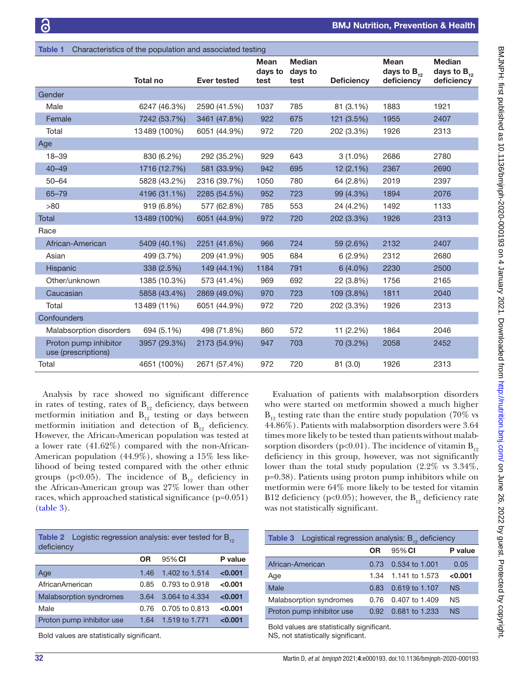<span id="page-2-0"></span>

| Characteristics of the population and associated testing<br><b>Table 1</b> |                 |                    |                                |                                  |                   |                                               |                                                 |  |  |  |
|----------------------------------------------------------------------------|-----------------|--------------------|--------------------------------|----------------------------------|-------------------|-----------------------------------------------|-------------------------------------------------|--|--|--|
|                                                                            | <b>Total no</b> | <b>Ever tested</b> | <b>Mean</b><br>days to<br>test | <b>Median</b><br>days to<br>test | <b>Deficiency</b> | <b>Mean</b><br>days to $B_{12}$<br>deficiency | <b>Median</b><br>days to $B_{12}$<br>deficiency |  |  |  |
| Gender                                                                     |                 |                    |                                |                                  |                   |                                               |                                                 |  |  |  |
| Male                                                                       | 6247 (46.3%)    | 2590 (41.5%)       | 1037                           | 785                              | 81 (3.1%)         | 1883                                          | 1921                                            |  |  |  |
| Female                                                                     | 7242 (53.7%)    | 3461 (47.8%)       | 922                            | 675                              | 121 (3.5%)        | 1955                                          | 2407                                            |  |  |  |
| Total                                                                      | 13489 (100%)    | 6051 (44.9%)       | 972                            | 720                              | 202 (3.3%)        | 1926                                          | 2313                                            |  |  |  |
| Age                                                                        |                 |                    |                                |                                  |                   |                                               |                                                 |  |  |  |
| $18 - 39$                                                                  | 830 (6.2%)      | 292 (35.2%)        | 929                            | 643                              | $3(1.0\%)$        | 2686                                          | 2780                                            |  |  |  |
| $40 - 49$                                                                  | 1716 (12.7%)    | 581 (33.9%)        | 942                            | 695                              | 12(2.1%)          | 2367                                          | 2690                                            |  |  |  |
| $50 - 64$                                                                  | 5828 (43.2%)    | 2316 (39.7%)       | 1050                           | 780                              | 64 (2.8%)         | 2019                                          | 2397                                            |  |  |  |
| $65 - 79$                                                                  | 4196 (31.1%)    | 2285 (54.5%)       | 952                            | 723                              | 99 (4.3%)         | 1894                                          | 2076                                            |  |  |  |
| >80                                                                        | 919 (6.8%)      | 577 (62.8%)        | 785                            | 553                              | 24 (4.2%)         | 1492                                          | 1133                                            |  |  |  |
| <b>Total</b>                                                               | 13489 (100%)    | 6051 (44.9%)       | 972                            | 720                              | 202 (3.3%)        | 1926                                          | 2313                                            |  |  |  |
| Race                                                                       |                 |                    |                                |                                  |                   |                                               |                                                 |  |  |  |
| African-American                                                           | 5409 (40.1%)    | 2251 (41.6%)       | 966                            | 724                              | 59 (2.6%)         | 2132                                          | 2407                                            |  |  |  |
| Asian                                                                      | 499 (3.7%)      | 209 (41.9%)        | 905                            | 684                              | 6(2.9%)           | 2312                                          | 2680                                            |  |  |  |
| Hispanic                                                                   | 338 (2.5%)      | 149 (44.1%)        | 1184                           | 791                              | $6(4.0\%)$        | 2230                                          | 2500                                            |  |  |  |
| Other/unknown                                                              | 1385 (10.3%)    | 573 (41.4%)        | 969                            | 692                              | 22 (3.8%)         | 1756                                          | 2165                                            |  |  |  |
| Caucasian                                                                  | 5858 (43.4%)    | 2869 (49.0%)       | 970                            | 723                              | 109 (3.8%)        | 1811                                          | 2040                                            |  |  |  |
| Total                                                                      | 13489 (11%)     | 6051 (44.9%)       | 972                            | 720                              | 202 (3.3%)        | 1926                                          | 2313                                            |  |  |  |
| Confounders                                                                |                 |                    |                                |                                  |                   |                                               |                                                 |  |  |  |
| Malabsorption disorders                                                    | 694 (5.1%)      | 498 (71.8%)        | 860                            | 572                              | 11 (2.2%)         | 1864                                          | 2046                                            |  |  |  |
| Proton pump inhibitor<br>use (prescriptions)                               | 3957 (29.3%)    | 2173 (54.9%)       | 947                            | 703                              | 70 (3.2%)         | 2058                                          | 2452                                            |  |  |  |
| Total                                                                      | 4651 (100%)     | 2671 (57.4%)       | 972                            | 720                              | 81 (3.0)          | 1926                                          | 2313                                            |  |  |  |

Analysis by race showed no significant difference in rates of testing, rates of  $B_{19}$  deficiency, days between metformin initiation and  $B_{12}$  testing or days between metformin initiation and detection of  $B_{12}$  deficiency. However, the African-American population was tested at a lower rate (41.62%) compared with the non-African-American population (44.9%), showing a 15% less likelihood of being tested compared with the other ethnic groups ( $p<0.05$ ). The incidence of  $B_{12}$  deficiency in the African-American group was 27% lower than other races, which approached statistical significance (p=0.051) ([table](#page-2-2) 3).

<span id="page-2-1"></span>

| <b>Table 2</b> Logistic regression analysis: ever tested for B <sub>12</sub><br>deficiency |      |                |         |  |  |  |  |  |
|--------------------------------------------------------------------------------------------|------|----------------|---------|--|--|--|--|--|
|                                                                                            | OR   | 95% CI         | P value |  |  |  |  |  |
| Age                                                                                        | 1.46 | 1.402 to 1.514 | < 0.001 |  |  |  |  |  |
| AfricanAmerican                                                                            | 0.85 | 0.793 to 0.918 | < 0.001 |  |  |  |  |  |
| <b>Malabsorption syndromes</b>                                                             | 3.64 | 3.064 to 4.334 | < 0.001 |  |  |  |  |  |
| Male                                                                                       | በ 76 | 0.705 to 0.813 | < 0.001 |  |  |  |  |  |
| Proton pump inhibitor use                                                                  | 1.64 | 1.519 to 1.771 | < 0.001 |  |  |  |  |  |

Bold values are statistically significant.

Evaluation of patients with malabsorption disorders who were started on metformin showed a much higher  $B_{12}$  testing rate than the entire study population (70% vs 44.86%). Patients with malabsorption disorders were 3.64 times more likely to be tested than patients without malabsorption disorders ( $p<0.01$ ). The incidence of vitamin  $B_{12}$ deficiency in this group, however, was not significantly lower than the total study population (2.2% vs 3.34%, p=0.38). Patients using proton pump inhibitors while on metformin were 64% more likely to be tested for vitamin B12 deficiency ( $p<0.05$ ); however, the  $B_{19}$  deficiency rate was not statistically significant.

<span id="page-2-2"></span>

| Logistical regression analysis: $B_{12}$ deficiency<br>Table 3 |      |                |           |  |  |  |  |
|----------------------------------------------------------------|------|----------------|-----------|--|--|--|--|
|                                                                | ΟR   | 95% CI         | P value   |  |  |  |  |
| African-American                                               | በ 73 | 0.534 to 1.001 | 0.05      |  |  |  |  |
| Age                                                            | 1.34 | 1.141 to 1.573 | < 0.001   |  |  |  |  |
| Male                                                           | 0.83 | 0.619 to 1.107 | <b>NS</b> |  |  |  |  |
| Malabsorption syndromes                                        | በ 76 | 0.407 to 1.409 | <b>NS</b> |  |  |  |  |
| Proton pump inhibitor use                                      | 0.92 | 0.681 to 1.233 | <b>NS</b> |  |  |  |  |
|                                                                |      |                |           |  |  |  |  |

Bold values are statistically significant.

NS, not statistically significant.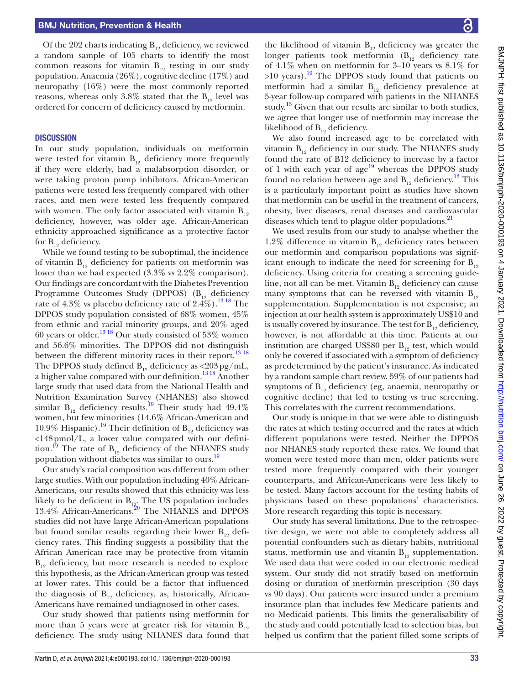Of the 202 charts indicating  $B_{12}$  deficiency, we reviewed a random sample of 105 charts to identify the most common reasons for vitamin  $B_{12}$  testing in our study population. Anaemia (26%), cognitive decline (17%) and neuropathy (16%) were the most commonly reported reasons, whereas only 3.8% stated that the  $B_{12}$  level was ordered for concern of deficiency caused by metformin.

## **DISCUSSION**

In our study population, individuals on metformin were tested for vitamin  $B_{12}$  deficiency more frequently if they were elderly, had a malabsorption disorder, or were taking proton pump inhibitors. African-American patients were tested less frequently compared with other races, and men were tested less frequently compared with women. The only factor associated with vitamin  $B_{12}$ deficiency, however, was older age. African-American ethnicity approached significance as a protective factor for  $B_{19}$  deficiency.

While we found testing to be suboptimal, the incidence of vitamin  $B_{19}$  deficiency for patients on metformin was lower than we had expected (3.3% vs 2.2% comparison). Our findings are concordant with the Diabetes Prevention Programme Outcomes Study (DPPOS)  $(B_{10})$  deficiency rate of 4.3% vs placebo deficiency rate of  $2.4\%$ ).<sup>13 18</sup> The DPPOS study population consisted of 68% women, 45% from ethnic and racial minority groups, and 20% aged 60 years or older[.13 18](#page-4-7) Our study consisted of 53% women and 56.6% minorities. The DPPOS did not distinguish between the different minority races in their report.<sup>[13 18](#page-4-7)</sup> The DPPOS study defined  $B_{19}$  deficiency as <203 pg/mL, a higher value compared with our definition.<sup>1318</sup> Another large study that used data from the National Health and Nutrition Examination Survey (NHANES) also showed similar  $B_{12}$  deficiency results.<sup>19</sup> Their study had 49.4% women, but few minorities (14.6% African-American and 10.9% Hispanic).<sup>19</sup> Their definition of  $B_{12}$  deficiency was <148pmol/L, a lower value compared with our definition.<sup>19</sup> The rate of  $B_{12}$  deficiency of the NHANES study population without diabetes was similar to ours.<sup>[19](#page-5-0)</sup>

Our study's racial composition was different from other large studies. With our population including 40% African-Americans, our results showed that this ethnicity was less likely to be deficient in  $B_{12}$ . The US population includes 13.4% African-Americans.<sup>20</sup> The NHANES and DPPOS studies did not have large African-American populations but found similar results regarding their lower  $B_{12}$  deficiency rates. This finding suggests a possibility that the African American race may be protective from vitamin  $B_{12}$  deficiency, but more research is needed to explore this hypothesis, as the African-American group was tested at lower rates. This could be a factor that influenced the diagnosis of  $B_{12}$  deficiency, as, historically, African-Americans have remained undiagnosed in other cases.

Our study showed that patients using metformin for more than 5 years were at greater risk for vitamin  $B_{12}$ deficiency. The study using NHANES data found that

the likelihood of vitamin  $B_{12}$  deficiency was greater the longer patients took metformin  $(B_{12}$  deficiency rate of 4.1% when on metformin for 3–10 years vs 8.1% for  $>10$  years).<sup>19</sup> The DPPOS study found that patients on metformin had a similar  $B_{12}$  deficiency prevalence at 5-year follow-up compared with patients in the NHANES study.<sup>[13](#page-4-7)</sup> Given that our results are similar to both studies, we agree that longer use of metformin may increase the likelihood of  $B_{12}$  deficiency.

We also found increased age to be correlated with vitamin  $B_{12}$  deficiency in our study. The NHANES study found the rate of B12 deficiency to increase by a factor of 1 with each year of  $age^{19}$  whereas the DPPOS study found no relation between age and  $B_{19}$  deficiency.<sup>13</sup> This is a particularly important point as studies have shown that metformin can be useful in the treatment of cancers, obesity, liver diseases, renal diseases and cardiovascular diseases which tend to plague older populations.<sup>[21](#page-5-2)</sup>

We used results from our study to analyse whether the 1.2% difference in vitamin  $B_{12}$  deficiency rates between our metformin and comparison populations was significant enough to indicate the need for screening for  $B_{12}$ deficiency. Using criteria for creating a screening guideline, not all can be met. Vitamin  $B_{19}$  deficiency can cause many symptoms that can be reversed with vitamin  $B_{12}$ supplementation. Supplementation is not expensive; an injection at our health system is approximately US\$10 and is usually covered by insurance. The test for  $B_{12}$  deficiency, however, is not affordable at this time. Patients at our institution are charged US\$80 per  $B_{19}$  test, which would only be covered if associated with a symptom of deficiency as predetermined by the patient's insurance. As indicated by a random sample chart review, 59% of our patients had symptoms of  $B_{12}$  deficiency (eg, anaemia, neuropathy or cognitive decline) that led to testing vs true screening. This correlates with the current recommendations.

Our study is unique in that we were able to distinguish the rates at which testing occurred and the rates at which different populations were tested. Neither the DPPOS nor NHANES study reported these rates. We found that women were tested more than men, older patients were tested more frequently compared with their younger counterparts, and African-Americans were less likely to be tested. Many factors account for the testing habits of physicians based on these populations' characteristics. More research regarding this topic is necessary.

Our study has several limitations. Due to the retrospective design, we were not able to completely address all potential confounders such as dietary habits, nutritional status, metformin use and vitamin  $B_{12}$  supplementation. We used data that were coded in our electronic medical system. Our study did not stratify based on metformin dosing or duration of metformin prescription (30 days vs 90 days). Our patients were insured under a premium insurance plan that includes few Medicare patients and no Medicaid patients. This limits the generalisability of the study and could potentially lead to selection bias, but helped us confirm that the patient filled some scripts of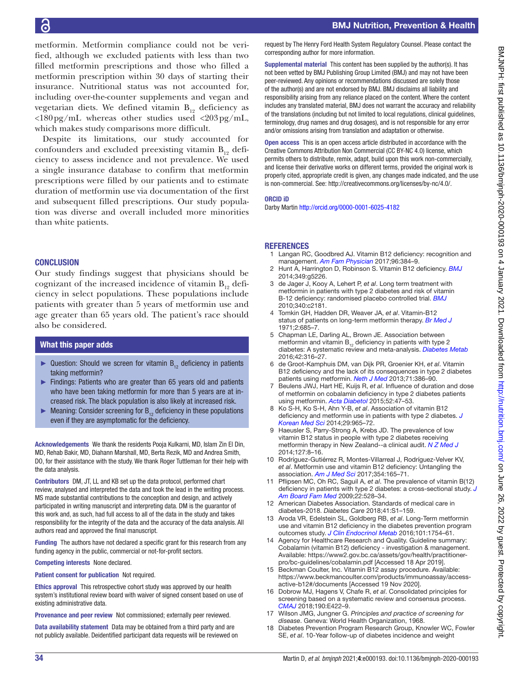BMJ Nutrition, Prevention & Health

metformin. Metformin compliance could not be verified, although we excluded patients with less than two filled metformin prescriptions and those who filled a metformin prescription within 30 days of starting their insurance. Nutritional status was not accounted for, including over-the-counter supplements and vegan and vegetarian diets. We defined vitamin  $B_{19}$  deficiency as  $\langle 180 \,\text{pg/mL}$  whereas other studies used  $\langle 203 \,\text{pg/mL}$ , which makes study comparisons more difficult.

Despite its limitations, our study accounted for confounders and excluded preexisting vitamin  $B_{19}$  deficiency to assess incidence and not prevalence. We used a single insurance database to confirm that metformin prescriptions were filled by our patients and to estimate duration of metformin use via documentation of the first and subsequent filled prescriptions. Our study population was diverse and overall included more minorities than white patients.

## **CONCLUSION**

Our study findings suggest that physicians should be cognizant of the increased incidence of vitamin  $B_{12}$  deficiency in select populations. These populations include patients with greater than 5 years of metformin use and age greater than 65 years old. The patient's race should also be considered.

## What this paper adds

- ► Question: Should we screen for vitamin  $B_{12}$  deficiency in patients taking metformin?
- ► Findings: Patients who are greater than 65 years old and patients who have been taking metformin for more than 5 years are at increased risk. The black population is also likely at increased risk.
- EXTER Meaning: Consider screening for  $B_{12}$  deficiency in these populations even if they are asymptomatic for the deficiency.

Acknowledgements We thank the residents Pooja Kulkarni, MD, Islam Zin El Din, MD, Rehab Bakir, MD, Diahann Marshall, MD, Berta Rezik, MD and Andrea Smith, DO, for their assistance with the study. We thank Roger Tuttleman for their help with the data analysis.

Contributors DM, JT, LL and KB set up the data protocol, performed chart review, analysed and interpreted the data and took the lead in the writing process. MS made substantial contributions to the conception and design, and actively participated in writing manuscript and interpreting data. DM is the guarantor of this work and, as such, had full access to all of the data in the study and takes responsibility for the integrity of the data and the accuracy of the data analysis. All authors read and approved the final manuscript.

Funding The authors have not declared a specific grant for this research from any funding agency in the public, commercial or not-for-profit sectors.

Competing interests None declared.

Patient consent for publication Not required.

Ethics approval This retrospective cohort study was approved by our health system's institutional review board with waiver of signed consent based on use of existing administrative data.

Provenance and peer review Not commissioned; externally peer reviewed.

Data availability statement Data may be obtained from a third party and are not publicly available. Deidentified participant data requests will be reviewed on request by The Henry Ford Health System Regulatory Counsel. Please contact the corresponding author for more information.

Supplemental material This content has been supplied by the author(s). It has not been vetted by BMJ Publishing Group Limited (BMJ) and may not have been peer-reviewed. Any opinions or recommendations discussed are solely those of the author(s) and are not endorsed by BMJ. BMJ disclaims all liability and responsibility arising from any reliance placed on the content. Where the content includes any translated material, BMJ does not warrant the accuracy and reliability of the translations (including but not limited to local regulations, clinical guidelines, terminology, drug names and drug dosages), and is not responsible for any error and/or omissions arising from translation and adaptation or otherwise.

Open access This is an open access article distributed in accordance with the Creative Commons Attribution Non Commercial (CC BY-NC 4.0) license, which permits others to distribute, remix, adapt, build upon this work non-commercially, and license their derivative works on different terms, provided the original work is properly cited, appropriate credit is given, any changes made indicated, and the use is non-commercial. See: [http://creativecommons.org/licenses/by-nc/4.0/.](http://creativecommons.org/licenses/by-nc/4.0/)

#### ORCID iD

Darby Martin<http://orcid.org/0000-0001-6025-4182>

#### <span id="page-4-0"></span>**REFERENCES**

- 1 Langan RC, Goodbred AJ. Vitamin B12 deficiency: recognition and management. *[Am Fam Physician](http://www.ncbi.nlm.nih.gov/pubmed/28925645)* 2017;96:384–9.
- 2 Hunt A, Harrington D, Robinson S. Vitamin B12 deficiency. *[BMJ](http://dx.doi.org/10.1136/bmj.g5226)* 2014;349:g5226.
- <span id="page-4-1"></span>3 de Jager J, Kooy A, Lehert P, *et al*. Long term treatment with metformin in patients with type 2 diabetes and risk of vitamin B-12 deficiency: randomised placebo controlled trial. *[BMJ](http://dx.doi.org/10.1136/bmj.c2181)* 2010;340:c2181.
- <span id="page-4-2"></span>4 Tomkin GH, Hadden DR, Weaver JA, *et al*. Vitamin-B12 status of patients on long-term metformin therapy. *[Br Med J](http://dx.doi.org/10.1136/bmj.2.5763.685)* 1971;2:685–7.
- <span id="page-4-3"></span>5 Chapman LE, Darling AL, Brown JE. Association between metformin and vitamin  $B_{12}$  deficiency in patients with type 2 diabetes: A systematic review and meta-analysis. *[Diabetes Metab](http://dx.doi.org/10.1016/j.diabet.2016.03.008)* 2016;42:316–27.
- <span id="page-4-4"></span>6 de Groot-Kamphuis DM, van Dijk PR, Groenier KH, *et al*. Vitamin B12 deficiency and the lack of its consequences in type 2 diabetes patients using metformin. *[Neth J Med](http://www.ncbi.nlm.nih.gov/pubmed/24038568)* 2013;71:386–90.
- <span id="page-4-5"></span>7 Beulens JWJ, Hart HE, Kuijs R, *et al*. Influence of duration and dose of metformin on cobalamin deficiency in type 2 diabetes patients using metformin. *[Acta Diabetol](http://dx.doi.org/10.1007/s00592-014-0597-8)* 2015;52:47–53.
- 8 Ko S-H, Ko S-H, Ahn Y-B, *et al*. Association of vitamin B12 deficiency and metformin use in patients with type 2 diabetes. *[J](http://dx.doi.org/10.3346/jkms.2014.29.7.965)  [Korean Med Sci](http://dx.doi.org/10.3346/jkms.2014.29.7.965)* 2014;29:965–72.
- 9 Haeusler S, Parry-Strong A, Krebs JD. The prevalence of low vitamin B12 status in people with type 2 diabetes receiving metformin therapy in New Zealand--a clinical audit. *[N Z Med J](http://www.ncbi.nlm.nih.gov/pubmed/25331307)* 2014;127:8–16.
- 10 Rodríguez-Gutiérrez R, Montes-Villarreal J, Rodríguez-Velver KV, *et al*. Metformin use and vitamin B12 deficiency: Untangling the association. *[Am J Med Sci](http://dx.doi.org/10.1016/j.amjms.2017.04.010)* 2017;354:165–71.
- 11 Pflipsen MC, Oh RC, Saguil A, *et al*. The prevalence of vitamin B(12) deficiency in patients with type 2 diabetes: a cross-sectional study. *[J](http://dx.doi.org/10.3122/jabfm.2009.05.090044)  [Am Board Fam Med](http://dx.doi.org/10.3122/jabfm.2009.05.090044)* 2009;22:528–34.
- <span id="page-4-6"></span>12 American Diabetes Association. Standards of medical care in diabetes-2018. *Diabetes Care* 2018;41:S1–159.
- <span id="page-4-7"></span>13 Aroda VR, Edelstein SL, Goldberg RB, *et al*. Long-Term metformin use and vitamin B12 deficiency in the diabetes prevention program outcomes study. *[J Clin Endocrinol Metab](http://dx.doi.org/10.1210/jc.2015-3754)* 2016;101:1754–61.
- <span id="page-4-8"></span>14 Agency for Healthcare Research and Quality. Guideline summary: Cobalamin (vitamin B12) deficiency - investigation & management. Available: [https://www2.gov.bc.ca/assets/gov/health/practitioner](https://www2.gov.bc.ca/assets/gov/health/practitioner-pro/bc-guidelines/cobalamin.pdf)[pro/bc-guidelines/cobalamin.pdf](https://www2.gov.bc.ca/assets/gov/health/practitioner-pro/bc-guidelines/cobalamin.pdf) [Accessed 18 Apr 2019].
- <span id="page-4-9"></span>15 Beckman Coulter, Inc. Vitamin B12 assay procedure. Available: [https://www.beckmancoulter.com/products/immunoassay/access](https://www.beckmancoulter.com/products/immunoassay/access-active-b12#/documents)[active-b12#/documents](https://www.beckmancoulter.com/products/immunoassay/access-active-b12#/documents) [Accessed 19 Nov 2020].
- <span id="page-4-10"></span>16 Dobrow MJ, Hagens V, Chafe R, *et al*. Consolidated principles for screening based on a systematic review and consensus process. *[CMAJ](http://dx.doi.org/10.1503/cmaj.171154)* 2018;190:E422–9.
- 17 Wilson JMG, Jungner G. *Principles and practice of screening for disease*. Geneva: World Health Organization, 1968.
- 18 Diabetes Prevention Program Research Group, Knowler WC, Fowler SE, *et al*. 10-Year follow-up of diabetes incidence and weight